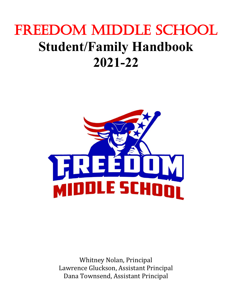# FREEDOM MIDDLE SCHOOL **Student/Family Handbook 2021-22**



Whitney Nolan, Principal Lawrence Gluckson, Assistant Principal Dana Townsend, Assistant Principal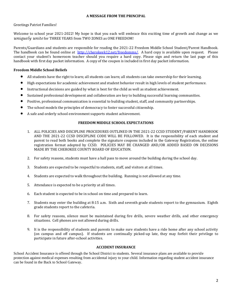# **A MESSAGE FROM THE PRINCIPAL**

# Greetings Patriot Families!

Welcome to school year 2021-2022! My hope is that you each will embrace this exciting time of growth and change as we *uniquely unite* for THREE YEARS from TWO ZONES as ONE FREEDOM!

Parents/Guardians and students are responsible for reading the 2021-22 Freedom Middle School Student/Parent Handbook. The handbook can be found online at [http://cherokeek12.net/freedomms/.](http://cherokeek12.net/freedomms/) A hard copy is available upon request. Please contact your student's homeroom teacher should you require a hard copy. Please sign and return the last page of this handbook with first day packet information. A copy of the coupon is included in first day packet information.

# **Freedom Middle School Beliefs**

- All students have the right to learn; all students can learn; all students can take ownership for their learning.
- High expectations for academic achievement and student behavior result in high levels of student performance.
- Instructional decisions are guided by what is best for the child as well as student achievement.
- Sustained professional development and collaboration are key to building successful learning communities.
- Positive, professional communication is essential to building student, staff, and community partnerships.
- The school models the principles of democracy to foster successful citizenship.
- A safe and orderly school environment supports student achievement.

## **FREEDOM MIDDLE SCHOOL EXPECTATIONS**

- 1. ALL POLICIES AND DISCIPLINE PROCEDURES OUTLINED IN THE 2021-22 CCSD STUDENT/PARENT HANDBOOK AND THE 2021-22 CCSD DISCIPLINE CODE WILL BE FOLLOWED. It is the responsibility of each student and parent to read both books and complete the signature coupons included in the Gateway Registration, the online registration format adopted by CCSD. POLICIES MAY BE CHANGED AND/OR ADDED BASED ON DECISIONS MADE BY THE CHEROKEE COUNTY BOARD OF EDUCATION.
- 2. For safety reasons, students must have a hall pass to move around the building during the school day.
- 3. Students are expected to be respectful to students, staff, and visitors at all times.
- 4. Students are expected to walk throughout the building. Running is not allowed at any time.
- 5. Attendance is expected to be a priority at all times.
- 6. Each student is expected to be in school on time and prepared to learn.
- 7. Students may enter the building at 8:15 a.m. Sixth and seventh grade students report to the gymnasium. Eighth grade students report to the cafeteria.
- 8. For safety reasons, silence must be maintained during fire drills, severe weather drills, and other emergency situations. Cell phones are not allowed during drills.
- 9. It is the responsibility of students and parents to make sure students have a ride home after any school activity (on campus and off campus). If students are continually picked-up late, they may forfeit their privilege to participate in future after-school activities.

### **ACCIDENT INSURANCE**

School Accident Insurance is offered through the School District to students. Several insurance plans are available to provide protection against medical expenses resulting from accidental injury to your child. Information regarding student accident insurance can be found in the Back to School Gateway.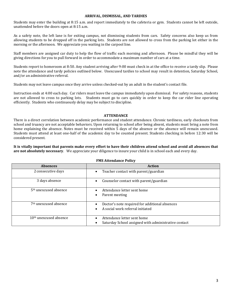#### **ARRIVAL, DISMISSAL, AND TARDIES**

Students may enter the building at 8:15 a.m. and report immediately to the cafeteria or gym. Students cannot be left outside, unattended before the doors open at 8:15 a.m.

As a safety note, the left lane is for exiting campus, not dismissing students from cars. Safety concerns also keep us from allowing students to be dropped off in the parking lots. Students are not allowed to cross from the parking lot either in the morning or the afternoon. We appreciate you waiting in the carpool line.

Staff members are assigned car duty to help the flow of traffic each morning and afternoon. Please be mindful they will be giving directions for you to pull forward in order to accommodate a maximum number of cars at a time.

Students report to homeroom at 8:50. Any student arriving after 9:00 must check in at the office to receive a tardy slip. Please note the attendance and tardy policies outlined below. Unexcused tardies to school may result in detention, Saturday School, and/or an administrative referral.

Students may not leave campus once they arrive unless checked-out by an adult in the student's contact file.

Instruction ends at 4:00 each day. Car riders must leave the campus immediately upon dismissal. For safety reasons, students are not allowed to cross to parking lots. Students must go to cars quickly in order to keep the car rider line operating efficiently. Students who continuously delay may be subject to discipline.

#### **ATTENDANCE**

There is a direct correlation between academic performance and student attendance. Chronic tardiness, early checkouts from school and truancy are not acceptable behaviors. Upon returning to school after being absent, students must bring a note from home explaining the absence. Notes must be received within 5 days of the absence or the absence will remain unexcused. Students must attend at least one-half of the academic day to be counted present. Students checking in before 12:30 will be considered present.

**It is vitally important that parents make every effort to have their children attend school and avoid all absences that are not absolutely necessary**. We appreciate your diligence to insure your child is in school each and every day.

| <b>Absences</b>                    | <b>Action</b>                                                                       |
|------------------------------------|-------------------------------------------------------------------------------------|
| 2 consecutive days                 | Teacher contact with parent/guardian                                                |
| 3 days absence                     | Counselor contact with parent/guardian                                              |
| 5 <sup>th</sup> unexcused absence  | Attendance letter sent home<br>Parent meeting                                       |
| 7 <sup>th</sup> unexcused absence  | Doctor's note required for additional absences<br>A social work referral initiated  |
| 10 <sup>th</sup> unexcused absence | Attendance letter sent home<br>Saturday School assigned with administrative contact |

#### **FMS Attendance Policy**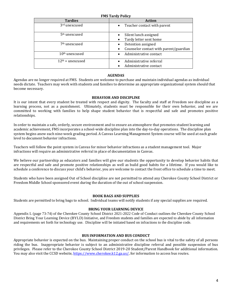| <b>Tardies</b>            | THE THEME TONEY<br><b>Action</b>                    |
|---------------------------|-----------------------------------------------------|
| 3rd unexcused             | Teacher contact with parent<br>$\bullet$            |
| 5 <sup>th</sup> unexcused | Silent lunch assigned                               |
|                           | Tardy letter sent home<br>$\bullet$                 |
| 7 <sup>th</sup> unexcused | Detention assigned                                  |
|                           | Counselor contact with parent/guardian<br>$\bullet$ |
| $10th$ unexcused          | Administrative contact                              |
| $12th$ + unexcused        | Administrative referral                             |
|                           | Administrative contact                              |

#### **FMS Tardy Policy**

#### **AGENDAS**

Agendas are no longer required at FMS. Students are welcome to purchase and maintain individual agendas as individual needs dictate. Teachers may work with students and families to determine an appropriate organizational system should that become necessary.

# **BEHAVIOR AND DISCIPLINE**

It is our intent that every student be treated with respect and dignity. The faculty and staff at Freedom see discipline as a learning process, not as a punishment. Ultimately, students must be responsible for their own behavior, and we are committed to working with families to help shape student behavior that is respectful and safe and promotes positive relationships.

In order to maintain a safe, orderly, secure environment and to ensure an atmosphere that promotes student learning and academic achievement, FMS incorporates a school-wide discipline plan into the day-to-day operations. The discipline plan system begins anew each nine-week grading period. A Canvas Learning Management System course will be used at each grade level to document behavior infractions.

Teachers will follow the point system in Canvas for minor behavior infractions as a student management tool. Major infractions will require an administrative referral in place of documentation in Canvas.

We believe our partnership as educators and families will give our students the opportunity to develop behavior habits that are respectful and safe and promote positive relationships as well as build good habits for a lifetime. If you would like to schedule a conference to discuss your child's behavior, you are welcome to contact the front office to schedule a time to meet.

Students who have been assigned Out of School discipline are not permitted to attend any Cherokee County School District or Freedom Middle School sponsored event during the duration of the out of school suspension.

#### **BOOK BAGS AND SUPPLIES**

Students are permitted to bring bags to school. Individual teams will notify students if any special supplies are required.

#### **BRING YOUR LEARNING DEVICE**

Appendix L (page 73-74) of the Cherokee County School District 2021-2022 Code of Conduct outlines the Cherokee County School District Bring Your Learning Device (BYLD) Initiative, and Freedom students and families are expected to abide by all information and requirements set forth for technology use. Discipline will be initiated based on infractions to the discipline code.

#### **BUS INFORMATION AND BUS CONDUCT**

Appropriate behavior is expected on the bus. Maintaining proper conduct on the school bus is vital to the safety of all persons riding the bus. Inappropriate behavior is subject to an administrative discipline referral and possible suspension of bus privileges. Please refer to the Cherokee County School District 2019-20 Student/Parent Handbook for additional information. You may also visit the CCSD website, [https://www.cherokee.k12.ga.us/,](https://www.cherokee.k12.ga.us/) for information to access bus routes.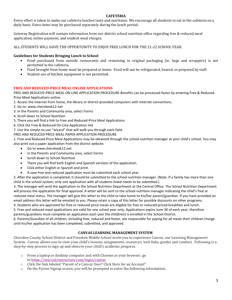# **CAFETERIA**

Every effort is taken to make our cafeteria lunches tasty and nutritious. We encourage all students to eat in the cafeteria on a daily basis. Extra items may be purchased separately during the lunch period.

Gateway Registration will contain information from our district school nutrition office regarding free & reduced meal application, online payment, and student meal charges.

ALL STUDENTS WILL HAVE THE OPPORTUNITY TO ENJOY FREE LUNCH FOR THE 21-22 SCHOOL YEAR.

# **Guidelines for Students Bringing Lunch to School**

- Food purchased from outside restaurants and remaining in original packaging (ie. bags and wrappers) is not permitted in the cafeteria.
- Food brought from home must be prepared at home. Food will not be refrigerated, heated, or prepared by staff.
- Student use of kitchen equipment is not permitted.

# **FREE AND REDUCED-PRICE MEAL ONLINE APPLICATIONS**

FREE AND REDUCED-PRICE MEAL ON-LINE APPLICATION PROCEDURE Benefits can be processed faster by entering Free & Reduced-Price Meal Applications online.

1. Access the internet from home, the library or district-provided computers with Internet connections.

2. Go to: www.cherokeek12.net

- 3. In the Parents and Community area, select Forms
- 4. Scroll down to School Nutrition

5. There you will find a link to Free and Reduced-Price Meal Applications

6. Click the Free & Reduced On-Line Application link

7. Use the simple-to-use "wizard" that will walk you through each field.

FREE AND REDUCED-PRICE MEAL PAPER APPLICATION PROCEDURE

1. Free and Reduced-Price Meal Applications may be obtained through the school nutrition manager at your child's school. You may also print out a paper application from the district website.

- Go to www.cherokeek12.net
- In the Parents and Community area, select Forms
- Scroll down to School Nutrition
- There you will find both English and Spanish versions of the application.
- Click either English or Spanish and print.
- A new free and reduced application must be submitted each school year.

2. After the application is completed, it should be submitted to the school nutrition manager. (Note: If a family has more than one child in the school system, only one application with all students listed needs to be submitted.)

3. The manager will send the application to the School Nutrition Department at the Central Office. The School Nutrition Department will process the application for final approval. A letter will be sent to the school nutrition manager indicating the child's free or reduced meal status. The manager will give this letter to the child to take home to his/her parent/guardian. If you have provided an email address this letter will be emailed to you. Please retain a copy of this letter for possible discounts on other programs.

4. Students who are approved for free or reduced-price meals are eligible for free or reduced-priced breakfast and lunch. 5. Free and reduced meal applications are valid for one school year only. Applications expire June 30 of each year; therefore parents/guardians must complete an application each year the child(ren) is enrolled in the School District.

6. Parents/Guardian of all children, including free, reduced and foster, are responsible for paying for all meals their children charge until his/her application has been completed, submitted, and approved.

### **CANVAS LEARNING MANAGEMENT SYSTEM**

Cherokee County School District and Freedom Middle School invite you to experience Canvas, our Learning Management System. Canvas allows you to view your child's lessons, assignments, resources, web links, grades and conduct. Following is a step-by-step process to sign up and observe your child's academic progress.

- o From a laptop or desktop computer and with Chrome as your browser, go to [https://myccsd.instructure.com/login/canvas](https://nam02.safelinks.protection.outlook.com/?url=https%3A%2F%2Fmyccsd.instructure.com%2Flogin%2Fcanvas&data=02%7C01%7Csheila.grimes%40cherokeek12.net%7Ce3842de63fb74cc4ffa608d6f33ae2c8%7Cafc04b26089b4cd6b9f02a3f280913be%7C0%7C0%7C636963831777150053&sdata=twVByderkbBrGAoVqp4dE%2FYsfatNB1%2FQr5OAJZrwAwM%3D&reserved=0)
- o Click the link labeled "Parent of a Canvas User? Click Here for an Account"
- o On the Parent Signup screen, you will be prompted to enter the following information: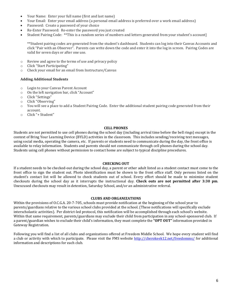- Your Name: Enter your full name (first and last name)
- Your Email: Enter your email address (a personal email address is preferred over a work email address)
- Password: Create a password of your choice
- Re-Enter Password: Re-enter the password you just created
- Student Pairing Code: \*\*This is a random series of numbers and letters generated from your student's account]

\*\*Student pairing codes are generated from the student's dashboard. Students can log into their Canvas Accounts and click "Pair with an Observer". Parents can write down the code and enter it into the log in screen. Pairing Codes are valid for seven days or after one use.

- o Review and agree to the terms of use and privacy policy
- o Click "Start Participating"
- o Check your email for an email from Instructure/Canvas

### **Adding Additional Students**

- o Login to your Canvas Parent Account
- o On the left navigation bar, click "Account"
- o Click "Settings"
- o Click "Observing"
- $\circ$  You will see a place to add a Student Pairing Code. Enter the additional student pairing code generated from their account.
- o Click "+ Student"

### **CELL PHONES**

Students are not permitted to use cell phones during the school day (including arrival time before the bell rings) except in the context of Bring Your Learning Device (BYLD) activities in the classroom. This includes sending/receiving text messages, using social media, operating the camera, etc. If parents or students need to communicate during the day, the front office is available to relay information. Students and parents should not communicate through cell phones during the school day. Students using cell phones without permission to contact home are subject to typical discipline procedures.

### **CHECKING OUT**

If a student needs to be checked-out during the school day, a parent or other adult listed as a student contact must come to the front office to sign the student out. Photo identification must be shown to the front office staff. Only persons listed on the student's contact list will be allowed to check students out of school. Every effort should be made to minimize student checkouts during the school day as it interrupts the instructional day. **Check outs are not permitted after 3:30 pm**. Unexcused checkouts may result in detention, Saturday School, and/or an administrative referral.

#### **CLUBS AND ORGANIZATIONS**

Within the provisions of O.C.G.A. 20-7-705, schools must provide notification at the beginning of the school year to parents/guardians relative to the various school clubs provided at the school. (These notifications will specifically exclude interscholastic activities). Per district-led protocol, this notification will be accomplished through each school's website. Within that same requirement, parents/guardians may exclude their child from participation in any school-sponsored club.If a parent/guardian wishes to exclude their child's information, they must complete the **"OPT OUT"** information provided in Gateway Registration.

Following you will find a list of all clubs and organizations offered at Freedom Middle School. We hope every student will find a club or activity with which to participate.Please visit the FMS website<http://cherokeek12.net/freedomms/> for additional information and descriptions for each club.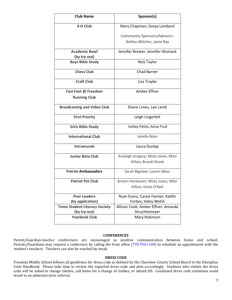| <b>Club Name</b>                     | Sponsor(s)                                                    |
|--------------------------------------|---------------------------------------------------------------|
| 4-H Club                             | Mary Chapman; Sonya Lombard                                   |
|                                      | Community Sponsors/Advisors-                                  |
|                                      | Ashley Witcher, Janie Ray                                     |
| <b>Academic Bowl</b>                 | Jennifer Brewer; Jennifer Womack                              |
| (by try-out)                         |                                                               |
| <b>Boys Bible Study</b>              | Nick Taylor                                                   |
| <b>Chess Club</b>                    | <b>Chad Barner</b>                                            |
| <b>Craft Club</b>                    | Lisa Trayler                                                  |
| Fast Feet @ Freedom                  | Amber Effner                                                  |
| <b>Running Club</b>                  |                                                               |
| <b>Broadcasting and Video Club</b>   | Shane Limes, Lee Lamb                                         |
| <b>First Priority</b>                | Leigh Lingerfelt                                              |
| <b>Girls Bible Study</b>             | Ashley Pettis; Anna Trull                                     |
| <b>International Club</b>            | Janelle Bean                                                  |
| <b>Intramurals</b>                   | Laura Dunlap                                                  |
| <b>Junior Beta Club</b>              | Ansleigh Gregory; Misty Jones; Mitzi<br>Killian; Brandi Shook |
|                                      |                                                               |
| <b>Patriot Ambassadors</b>           | Sarah Bigelow; Lauren Moss                                    |
| <b>Patriot Pet Club</b>              | Kristen Honkanen; Misty Jones; Mitzi                          |
|                                      | Killian; Greta O'Neil                                         |
| <b>Peer Leaders</b>                  | Ryan Evans; Cassie Fainter; Kaitlin                           |
| (by application)                     | Forbes; Haley Welsh                                           |
| <b>Tome Student Literacy Society</b> | Allison Cook; Amber Effner; Amanda                            |
| (by try-out)                         | Struchtemeyer                                                 |
| <b>Yearbook Club</b>                 | Mary Robinson                                                 |

# **CONFERENCES**

Parent/Guardian-teacher conferences are encouraged as positive communication between home and school. Parents/Guardians may request a conference by calling the front office (770.704.1100) to schedule an appointment with the student's teachers. Teachers can also be reached by email.

#### **DRESS CODE**

Freedom Middle School follows all guidelines for dress code as defined by the Cherokee County School Board in the Discipline Code Handbook. Please take time to review the expected dress code and plan accordingly. Students who violate the dress code will be asked to change clothes, call home for a change of clothes, or attend ISS. Continued dress code violations could result in an administrative referral.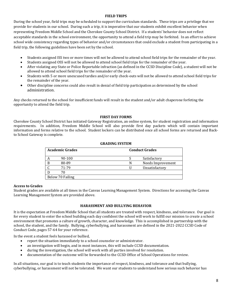# **FIELD TRIPS**

During the school year, field trips may be scheduled to support the curriculum standards. These trips are a privilege that we provide for students in our school. During such a trip, it is imperative that our students exhibit excellent behavior when representing Freedom Middle School and the Cherokee County School District. If a students' behavior does not reflect acceptable standards in the school environment, the opportunity to attend a field trip may be forfeited. In an effort to achieve school wide consistency regarding types of behavior and/or circumstances that could exclude a student from participating in a field trip, the following guidelines have been set by the school.

- Students assigned ISS two or more times will not be allowed to attend school field trips for the remainder of the year.
- Students assigned OSS will not be allowed to attend school field trips for the remainder of the year.
- After violating any State or Police Reportable infraction (as defined in the CCSD Discipline Code), a student will not be allowed to attend school field trips for the remainder of the year.
- Students with 5 or more unexcused tardies and/or early check-outs will not be allowed to attend school field trips for the remainder of the year.
- Other discipline concerns could also result in denial of field trip participation as determined by the school administration.

Any checks returned to the school for insufficient funds will result in the student and/or adult chaperone forfeting the opportunity to attend the field trip.

# **FIRST DAY FORMS**

Cherokee County School District has initiated Gateway Registration, an online system, for student registration and information requirements. In addition, Freedom Middle School will also provide first day packets which will contain important information and forms relative to the school. Student lockers can be distributed once all school forms are returned and Backto School Gateway is complete.

|   | <b>Academic Grades</b> |   | <b>Conduct Grades</b> |
|---|------------------------|---|-----------------------|
| А | 90-100                 |   | Satisfactory          |
| B | 80-89                  | N | Needs Improvement     |
|   | 71-79                  |   | Unsatisfactory        |
|   | 70                     |   |                       |
|   | Below 70 Failing       |   |                       |

# **GRADING SYSTEM**

### **Access to Grades**

Student grades are available at all times in the Canvas Learning Management System. Directions for accessing the Canvas Learning Management System are provided above.

# **HARASSMENT AND BULLYING BEHAVIOR**

It is the expectation at Freedom Middle School that all students are treated with respect, kindness, and tolerance. Our goal is for every student to enter the school building each day confident the school will work to fulfill our mission to create a school environment that promotes a culture of growth, character, and knowledge. This is accomplished in partnership with the school, the student, and the family. Bullying, cyberbullying, and harassment are defined in the 2021-2022 CCSD Code of Conduct Code, pages 57-64 for your reference.

In the event a student feels harassed or bullied,

- report the situation immediately to a school counselor or administrator.
- an investigation will begin, and in most instances, this will include CCSD documentation.
- during the investigation, the school will work with all parties involved for resolution.
- documentation of the outcome will be forwarded to the CCSD Office of School Operations for review.

In all situations, our goal is to teach students the importance of respect, kindness, and tolerance and that bullying, cyberbullying, or harassment will not be tolerated. We want our students to understand how serious such behavior has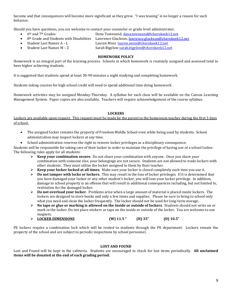become and that consequences will become more significant as they grow. "I was teasing" is no longer a reason for such behavior.

Should you have questions, you are welcome to contact your counselor or grade level administrator.

- 
- 6th and 7th Grades Dana Townsend, [dana.townsend@cherokeek12.net](mailto:dana.townsend@cherokee.k12.ga.us)
- 8th Grade and Students with Disabilities Lawrence Gluckson[, lawrence.gluckson@cherokeek12.net](mailto:lawrence.gluckson@cherokee.k12.ga.us)
- 
- 

# • Student Last Names A – L Lauren Moss [lauren.moss@cherokeek12.net](mailto:lauren.moss@cherokeek12.net)

- Student Last Names M Z Sarah Bigelow [sarah.bigelow@cherokeek12.net](mailto:sarah.bigelow@cherokeek12.net)
- 

# **HOMEWORK POLICY**

Homework is an integral part of the learning process. Schools in which homework is routinely assigned and assessed tend to have higher achieving students.

It is suggested that students spend at least 30-90 minutes a night studying and completing homework.

Students taking courses for high school credit will need to spend additional time doing homework.

Homework activities may be assigned Monday-Thursday. A syllabus for each class will be available on the Canvas Learning Management System. Paper copies are also available. Teachers will require acknowledgement of the course syllabus.

# **LOCKERS**

Lockers are available upon request. This request must be made by the parent to the homeroom teacher during the first 3 days of school.

- The assigned locker remains the property of Freedom Middle School even while being used by students. School administration may inspect lockers at any time.
- School administration reserves the right to remove locker privileges as a disciplinary consequence.

Students will be responsible for taking care of their locker in order to maintain the privilege of having use of a school locker. The following rules apply for all students:

- ➢ **Keep your combination secure**. Do not share your combination with anyone. Once you share your combination with someone else, your belongings are not secure. Students are not allowed to trade lockers with other students. They must utilize the locker assigned to them by their teacher.
- ➢ **Keep your locker locked at all times.** Make sure your locker is closed completely each time you use it.
- ➢ **Do not tamper with locks or lockers.** This may result in the loss of locker privileges. If it is determined that you have damaged your locker or any other student's locker, you will lose your locker privilege. In addition, damage to school property is an offense that will result in additional consequences including, but not limited to, restitution for the damaged locker.
- ➢ **Do not overload your locker**. Problems arise when a large amount of material is placed inside lockers. The lockers are designed to store books and only a few items and supplies. Please be sure to bring to school only what you need and clean the locker frequently. The locker should not be used for long-term storage.
- ➢ **No tape or glue or marking is allowed on the inside or outside of lockers**. Students should not write on or mark in the locker. Do not place stickers or tape on the inside or outside of the locker. You are welcome to use magnets.
- ➢ **LOCKER DIMENSIONS (W) 11.5 " (H) 35" (D) 10.5"**

PE lockers require a combination lock which will be rented to students through the PE department. Lockers remain the property of the school and are subject to periodic inspections by school personnel.

### **LOST AND FOUND**

Lost and Found will be kept in the cafeteria. Students are encouraged to check for lost items periodically. **All unclaimed items will be donated at the end of each grading period.**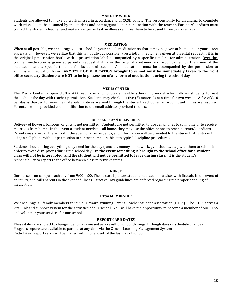#### **MAKE-UP WORK**

Students are allowed to make up work missed in accordance with CCSD policy. The responsibility for arranging to complete work missed is to be assumed by the student and parent/guardian in conjunction with the teacher. Parents/Guardians must contact the student's teacher and make arrangements if an illness requires them to be absent three or more days.

#### **MEDICATION**

When at all possible, we encourage you to schedule your child's medication so that it may be given at home under your direct supervision. However, we realize that this is not always possible. Prescription medicine is given at parental request if it is in the original prescription bottle with a prescription label accompanied by a specific timeline for administration. Over-thecounter medication is given at parental request if it is in the original container and accompanied by the name of the medication and a specific timeline for its administration. All medications must be accompanied by the permission to administer medication form. **ANY TYPE OF MEDICATION brought to school must be immediately taken to the front office secretary. Students are NOT to be in possession of any form of medication during the school day**.

#### **MEDIA CENTER**

The Media Center is open 8:50 – 4:00 each day and follows a flexible scheduling model which allows students to visit throughout the day with teacher permission. Students may check-out five (5) materials at a time for two weeks. A fee of \$.10 per day is charged for overdue materials. Notices are sent through the student's school email account until fines are resolved. Parents are also provided email notification to the email address provided to the school.

#### **MESSAGES and DELIVERIES**

Delivery of flowers, balloons, or gifts is not permitted. Students are not permitted to use cell phones to call home or to receive messages from home. In the event a student needs to call home, they may use the office phone to reach parents/guardians. Parents may also call the school in the event of an emergency, and information will be provided to the student. Any student using a cell phone without permission to contact home is subject to typical discipline procedures.

Students should bring everything they need for the day (lunches, money, homework, gym clothes, etc.) with them to school in order to avoid disruptions during the school day. **In the event something is brought to the school office for a student, class will not be interrupted, and the student will not be permitted to leave during class.** It is the student's responsibility to report to the office between class to retrieve items.

#### **NURSE**

Our nurse is on campus each day from 9:00-4:00. The nurse dispenses student medications, assists with first aid in the event of an injury, and calls parents in the event of illness. Strict county guidelines are enforced regarding the proper handling of medication.

#### **PTSA MEMBESHIP**

We encourage all family members to join our award-winning Parent Teacher Student Association (PTSA). The PTSA serves a vital link and support system for the activities of our school. You will have the opportunity to become a member of our PTSA and volunteer your services for our school.

#### **REPORT CARD DATES**

These dates are subject to change due to days missed as a result of school closings, furlough days or schedule changes. Progress reports are available to parents at any time via the Canvas Learning Management System. End-of-Year report cards will be mailed within one week of the last day of school.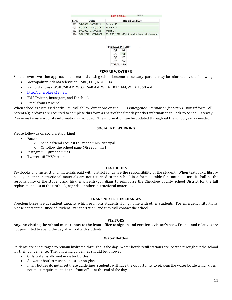2021-22 Dates

From Omce

| Term           | Dates                              | <b>Report Card Day</b>                          |  |
|----------------|------------------------------------|-------------------------------------------------|--|
| O <sub>1</sub> | 8/2/2021 - 10/8/2021               | October 15                                      |  |
| O <sub>2</sub> | 10/12/2021 - 12/17/2021 January 11 |                                                 |  |
| O <sub>3</sub> | $1/4/2022 - 3/17/2022$             | March 24                                        |  |
| O <sub>4</sub> | 3/18/2022 - 5/27/2022              | ES-5/27/2022; MS/HS - mailed home within a week |  |

|             | <b>Total Days in TERM</b> |
|-------------|---------------------------|
| $\bigcap$ 1 | 44                        |

| Q <sub>2</sub>   | 43 |
|------------------|----|
| O3               | 47 |
| Q4               | 46 |
| <b>TOTAL 180</b> |    |

#### **SEVERE WEATHER**

Should severe weather approach our area and closing school becomes necessary, parents may be informed by the following:

- Metropolitan Atlanta television ABC, CBS, NBC, FOX
- Radio Stations WSB 750 AM, WGST 640 AM, WLJA 101.1 FM, WLJA 1560 AM
- <http://cherokeek12.net/>
- FMS Twitter, Instagram, and Facebook
- Email from Principal

When school is dismissed early, FMS will follow directions on the CCSD *Emergency Information for Early Dismissal* form. All parents/guardians are required to complete this form as part of the first day packet information in Back-to-School Gateway. Please make sure accurate information is included. The information can be updated throughout the schoolyear as needed.

### **SOCIAL NETWORKING**

Please follow us on social networking!

- Facebook
	- o Send a friend request to FreedomMS Principal
	- o Or follow the school page @freedomms1
- Instagram @freedomms1
- Twitter @FMSPatriots

### **TEXTBOOKS**

Textbooks and instructional materials paid with district funds are the responsibility of the student. When textbooks, library books, or other instructional materials are not returned to the school in a form suitable for continued use, it shall be the responsibility of the student and his/her parents/guardians to reimburse the Cherokee County School District for the full replacement cost of the textbook, agenda, or other instructional materials.

### **TRANSPORTATION CHANGES**

Freedom buses are at student capacity which prohibits students riding home with other students. For emergency situations, please contact the Office of Student Transportation, and they will contact the school.

### **VISITORS**

**Anyone visiting the school must report to the front office to sign in and receive a visitor's pass.** Friends and relatives are not permitted to spend the day at school with students.

### **Water Bottles**

Students are encouraged to remain hydrated throughout the day. Water bottle refill stations are located throughout the school for their convenience. The following guidelines should be followed:

- Only water is allowed in water bottles
- All water bottles must be plastic, non-glass
- If any bottles do not meet these guidelines, students will have the opportunity to pick-up the water bottle which does not meet requirements in the front office at the end of the day.